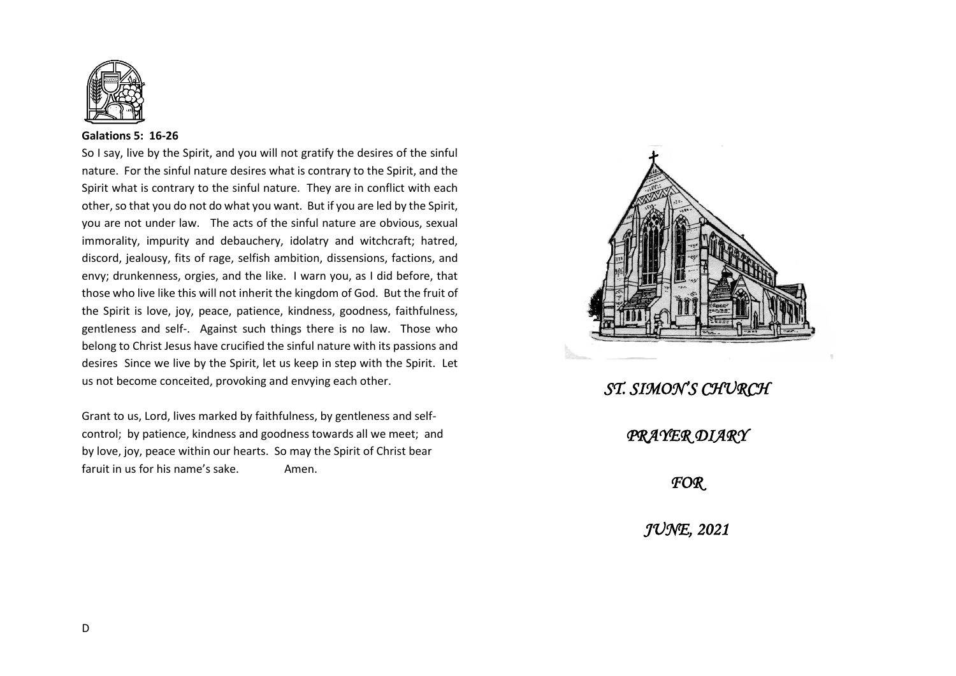

## **Galations 5: 16-26**

So I say, live by the Spirit, and you will not gratify the desires of the sinful nature. For the sinful nature desires what is contrary to the Spirit, and the Spirit what is contrary to the sinful nature. They are in conflict with each other, so that you do not do what you want. But if you are led by the Spirit, you are not under law. The acts of the sinful nature are obvious, sexual immorality, impurity and debauchery, idolatry and witchcraft; hatred, discord, jealousy, fits of rage, selfish ambition, dissensions, factions, and envy; drunkenness, orgies, and the like. I warn you, as I did before, that those who live like this will not inherit the kingdom of God. But the fruit of the Spirit is love, joy, peace, patience, kindness, goodness, faithfulness, gentleness and self-. Against such things there is no law. Those who belong to Christ Jesus have crucified the sinful nature with its passions and desires Since we live by the Spirit, let us keep in step with the Spirit. Let us not become conceited, provoking and envying each other.

Grant to us, Lord, lives marked by faithfulness, by gentleness and selfcontrol; by patience, kindness and goodness towards all we meet; and by love, joy, peace within our hearts. So may the Spirit of Christ bear faruit in us for his name's sake. Amen.



*ST. SIMON'S CHURCH PRAYER DIARY FOR JUNE, 2021*